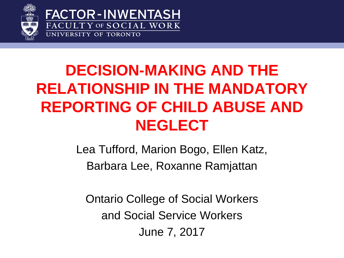



#### **DECISION-MAKING AND THE RELATIONSHIP IN THE MANDATORY REPORTING OF CHILD ABUSE AND NEGLECT**

Lea Tufford, Marion Bogo, Ellen Katz, Barbara Lee, Roxanne Ramjattan

Ontario College of Social Workers and Social Service Workers June 7, 2017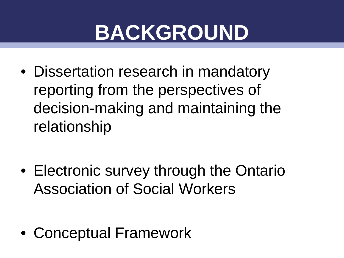## **BACKGROUND**

• Dissertation research in mandatory reporting from the perspectives of decision-making and maintaining the relationship

• Electronic survey through the Ontario Association of Social Workers

• Conceptual Framework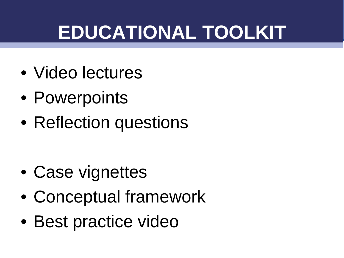## **EDUCATIONAL TOOLKIT**

- Video lectures
- Powerpoints
- Reflection questions

- Case vignettes
- Conceptual framework
- Best practice video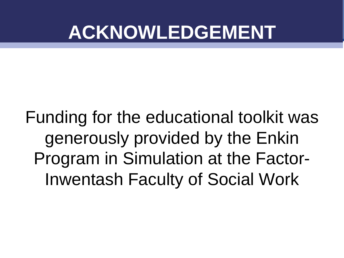## **ACKNOWLEDGEMENT**

Funding for the educational toolkit was generously provided by the Enkin Program in Simulation at the Factor-Inwentash Faculty of Social Work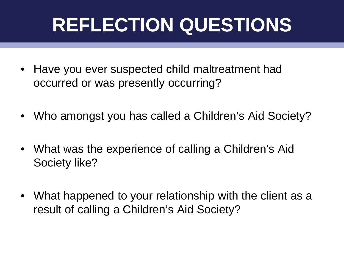## **REFLECTION QUESTIONS**

- Have you ever suspected child maltreatment had occurred or was presently occurring?
- Who amongst you has called a Children's Aid Society?
- What was the experience of calling a Children's Aid Society like?
- What happened to your relationship with the client as a result of calling a Children's Aid Society?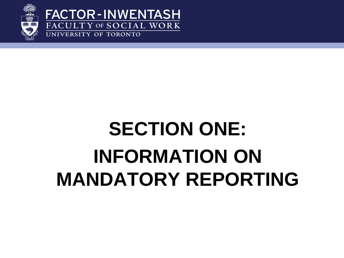

**FACTOR-INWENTASH** FACULTY OF SOCIAL WORK UNIVERSITY OF TORONTO

## **SECTION ONE: INFORMATION ON MANDATORY REPORTING**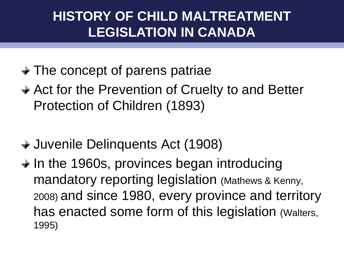#### **HISTORY OF CHILD MALTREATMENT LEGISLATION IN CANADA**

- $\rightarrow$  The concept of parens patriae
- **→ Act for the Prevention of Cruelty to and Better** Protection of Children (1893)
- Juvenile Delinquents Act (1908)
- $\div$  In the 1960s, provinces began introducing mandatory reporting legislation (Mathews & Kenny, 2008) and since 1980, every province and territory has enacted some form of this legislation (Walters, 1995)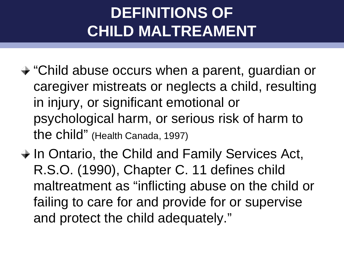#### **DEFINITIONS OF CHILD MALTREAMENT**

- "Child abuse occurs when a parent, guardian or caregiver mistreats or neglects a child, resulting in injury, or significant emotional or psychological harm, or serious risk of harm to the child" (Health Canada, 1997)
- $\rightarrow$  In Ontario, the Child and Family Services Act, R.S.O. (1990), Chapter C. 11 defines child maltreatment as "inflicting abuse on the child or failing to care for and provide for or supervise and protect the child adequately."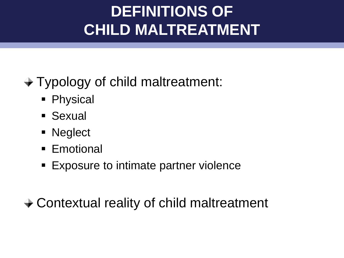#### **EPINITIONS OF AND DEFINITIONS OF AND ALL INCONS CHILD MALTREATMENT**

#### Typology of child maltreatment:

- **Physical**
- Sexual
- **Neglect**
- **Emotional**
- **Exposure to intimate partner violence**

#### Contextual reality of child maltreatment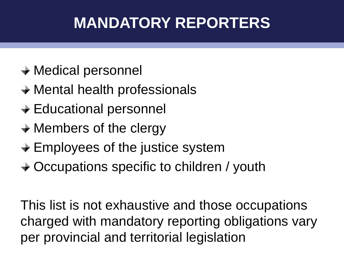#### **EXAMPREDBY REPORTERS**

- Medical personnel
- Mental health professionals
- $\div$  **Educational personnel**
- **→ Members of the clergy**
- $\div$  **Employees of the justice system**
- **→ Occupations specific to children / youth**

This list is not exhaustive and those occupations charged with mandatory reporting obligations vary per provincial and territorial legislation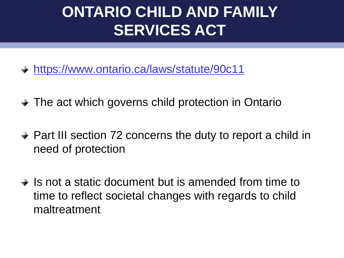#### **EXAMPLE: CHILD AND FAMILY SERVICES ACT**

- <https://www.ontario.ca/laws/statute/90c11>
- **→ The act which governs child protection in Ontario**
- **→ Part III section 72 concerns the duty to report a child in** need of protection
- $\rightarrow$  Is not a static document but is amended from time to time to reflect societal changes with regards to child maltreatment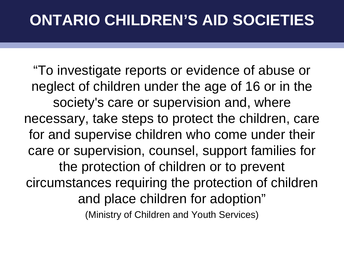#### **ONTARIO CHILDREN'S AID SOCIETIES**

"To investigate reports or evidence of abuse or neglect of children under the age of 16 or in the society's care or supervision and, where necessary, take steps to protect the children, care for and supervise children who come under their care or supervision, counsel, support families for the protection of children or to prevent circumstances requiring the protection of children and place children for adoption" (Ministry of Children and Youth Services)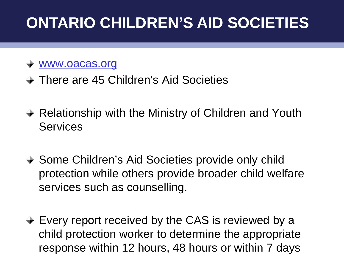#### **ONTARIO CHILDREN'S AID SOCIETIES**

#### [www.oacas.org](http://www.oacas.org/)

- **→ There are 45 Children's Aid Societies**
- **→ Relationship with the Ministry of Children and Youth Services**
- **→ Some Children's Aid Societies provide only child** protection while others provide broader child welfare services such as counselling.
- $\div$  **Every report received by the CAS is reviewed by a** child protection worker to determine the appropriate response within 12 hours, 48 hours or within 7 days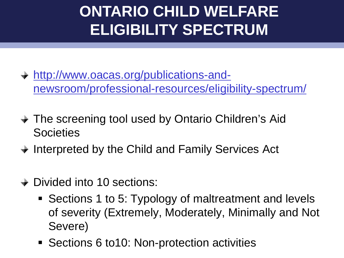#### **ONTARIO CHILD WELFARE ELIGIBILITY SPECTRUM**

- [http://www.oacas.org/publications-and](http://www.oacas.org/publications-and-newsroom/professional-resources/eligibility-spectrum/)[newsroom/professional-resources/eligibility-spectrum/](http://www.oacas.org/publications-and-newsroom/professional-resources/eligibility-spectrum/)
- **→ The screening tool used by Ontario Children's Aid Societies**
- **→ Interpreted by the Child and Family Services Act**
- **→ Divided into 10 sections:** 
	- Sections 1 to 5: Typology of maltreatment and levels of severity (Extremely, Moderately, Minimally and Not Severe)
	- Sections 6 to10: Non-protection activities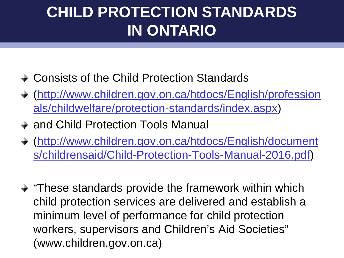#### **CHILD PROTECTION STANDARDS IN ONTARIO**

- **→ Consists of the Child Protection Standards**
- [\(http://www.children.gov.on.ca/htdocs/English/profession](http://www.children.gov.on.ca/htdocs/English/professionals/childwelfare/protection-standards/index.aspx) [als/childwelfare/protection-standards/index.aspx](http://www.children.gov.on.ca/htdocs/English/professionals/childwelfare/protection-standards/index.aspx))
- **→ and Child Protection Tools Manual**
- [\(http://www.children.gov.on.ca/htdocs/English/document](http://www.children.gov.on.ca/htdocs/English/documents/childrensaid/Child-Protection-Tools-Manual-2016.pdf) [s/childrensaid/Child-Protection-Tools-Manual-2016.pdf](http://www.children.gov.on.ca/htdocs/English/documents/childrensaid/Child-Protection-Tools-Manual-2016.pdf))
- $\rightarrow$  "These standards provide the framework within which child protection services are delivered and establish a minimum level of performance for child protection workers, supervisors and Children's Aid Societies" (www.children.gov.on.ca)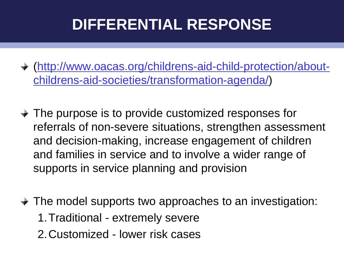#### **DIFFERENTIAL RESPONSE**

- [\(http://www.oacas.org/childrens-aid-child-protection/about](http://www.oacas.org/childrens-aid-child-protection/about-childrens-aid-societies/transformation-agenda/)[childrens-aid-societies/transformation-agenda/](http://www.oacas.org/childrens-aid-child-protection/about-childrens-aid-societies/transformation-agenda/))
- **→ The purpose is to provide customized responses for** referrals of non-severe situations, strengthen assessment and decision-making, increase engagement of children and families in service and to involve a wider range of supports in service planning and provision
- $\rightarrow$  The model supports two approaches to an investigation: 1.Traditional - extremely severe 2.Customized - lower risk cases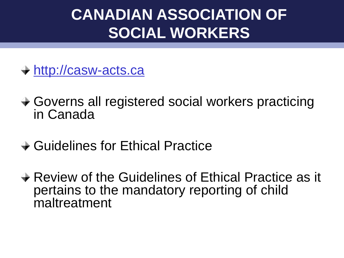#### **Evaluation Approach CANADIAN ASSOCIATION OF SOCIAL WORKERS**

- [http://casw-acts.ca](http://casw-acts.ca/)
- Governs all registered social workers practicing in Canada
- **→ Guidelines for Ethical Practice**
- **→ Review of the Guidelines of Ethical Practice as it** pertains to the mandatory reporting of child maltreatment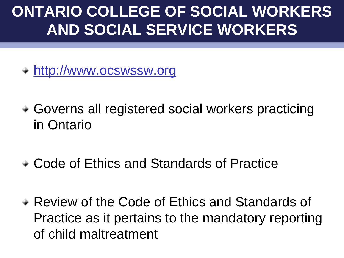#### **ONTARIO COLLEGE OF SOCIAL WORKERS AND SOCIAL SERVICE WORKERS**

[http://www.ocswssw.org](http://www.ocswssw.org/)

- Governs all registered social workers practicing in Ontario
- Code of Ethics and Standards of Practice
- Review of the Code of Ethics and Standards of Practice as it pertains to the mandatory reporting of child maltreatment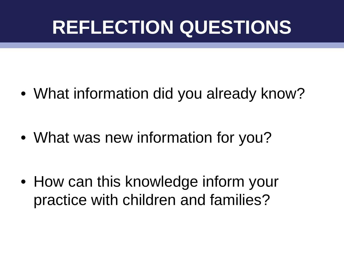## **REFLECTION QUESTIONS**

• What information did you already know?

• What was new information for you?

• How can this knowledge inform your practice with children and families?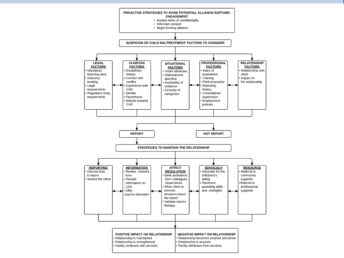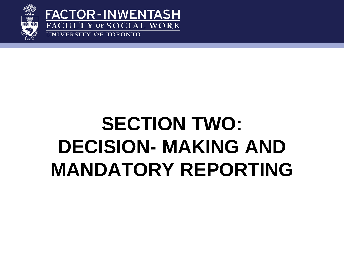

**FACTOR-INWENTASH** FACULTY OF SOCIAL WORK UNIVERSITY OF TORONTO

## **SECTION TWO: DECISION- MAKING AND MANDATORY REPORTING**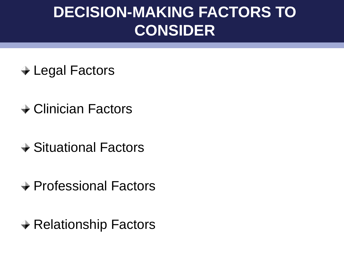#### **DECISION-MAKING FACTORS TO CONSIDER**

- **→ Legal Factors**
- **→ Clinician Factors**
- Situational Factors
- **→ Professional Factors**
- **→ Relationship Factors**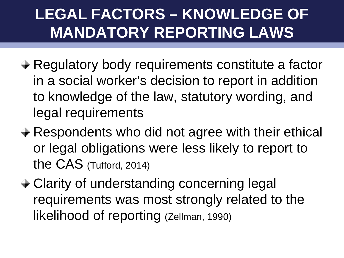#### **LEGAL FACTORS – KNOWLEDGE OF MANDATORY REPORTING LAWS**

- **★ Regulatory body requirements constitute a factor** in a social worker's decision to report in addition to knowledge of the law, statutory wording, and legal requirements
- **→ Respondents who did not agree with their ethical** or legal obligations were less likely to report to the CAS (Tufford, 2014)
- Clarity of understanding concerning legal requirements was most strongly related to the likelihood of reporting (Zellman, 1990)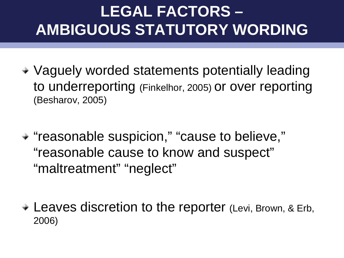#### **LEGAL FACTORS – AMBIGUOUS STATUTORY WORDING**

- Vaguely worded statements potentially leading to underreporting (Finkelhor, 2005) or over reporting (Besharov, 2005)
- "reasonable suspicion," "cause to believe," "reasonable cause to know and suspect" "maltreatment" "neglect"
- Leaves discretion to the reporter (Levi, Brown, & Erb, 2006)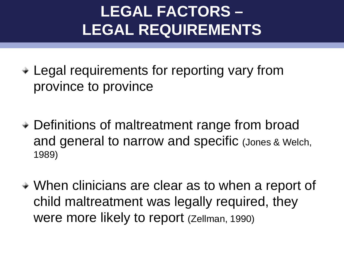#### **LEGAL FACTORS – LEGAL REQUIREMENTS**

Legal requirements for reporting vary from province to province

- Definitions of maltreatment range from broad and general to narrow and specific (Jones & Welch, 1989)
- When clinicians are clear as to when a report of child maltreatment was legally required, they were more likely to report (Zellman, 1990)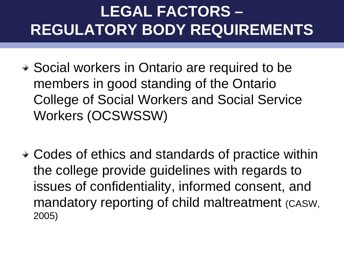#### **LEGAL FACTORS – REGULATORY BODY REQUIREMENTS**

- Social workers in Ontario are required to be members in good standing of the Ontario College of Social Workers and Social Service Workers (OCSWSSW)
- Codes of ethics and standards of practice within the college provide guidelines with regards to issues of confidentiality, informed consent, and mandatory reporting of child maltreatment (CASW, 2005)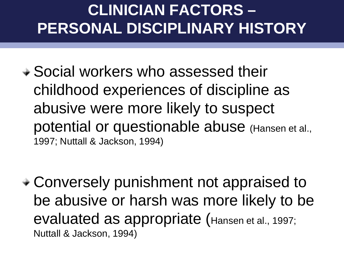#### **CLINICIAN FACTORS – PERSONAL DISCIPLINARY HISTORY**

Social workers who assessed their childhood experiences of discipline as abusive were more likely to suspect potential or questionable abuse (Hansen et al., 1997; Nuttall & Jackson, 1994)

Conversely punishment not appraised to be abusive or harsh was more likely to be evaluated as appropriate (Hansen et al., 1997; Nuttall & Jackson, 1994)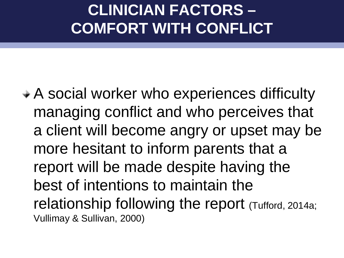#### **CLINICIAN FACTORS – COMFORT WITH CONFLICT**

A social worker who experiences difficulty managing conflict and who perceives that a client will become angry or upset may be more hesitant to inform parents that a report will be made despite having the best of intentions to maintain the relationship following the report (Tufford, 2014a; Vullimay & Sullivan, 2000)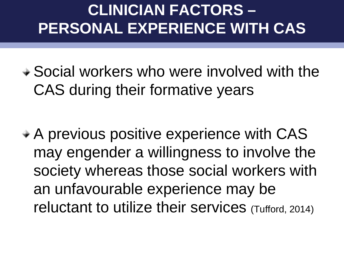#### **CLINICIAN FACTORS – PERSONAL EXPERIENCE WITH CAS**

Social workers who were involved with the CAS during their formative years

A previous positive experience with CAS may engender a willingness to involve the society whereas those social workers with an unfavourable experience may be reluctant to utilize their services (Tufford, 2014)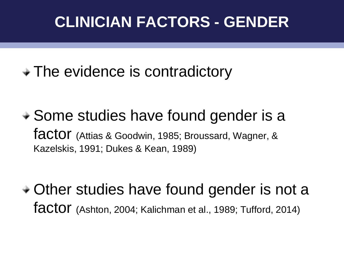#### **CLINICIAN FACTORS - GENDER**

• The evidence is contradictory

• Some studies have found gender is a factor (Attias & Goodwin, 1985; Broussard, Wagner, & Kazelskis, 1991; Dukes & Kean, 1989)

Other studies have found gender is not a factor (Ashton, 2004; Kalichman et al., 1989; Tufford, 2014)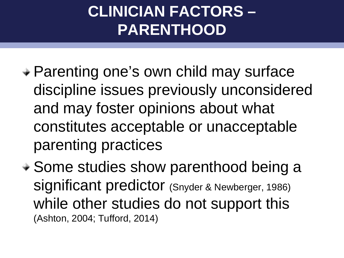#### **CLINICIAN FACTORS – PARENTHOOD**

- Parenting one's own child may surface discipline issues previously unconsidered and may foster opinions about what constitutes acceptable or unacceptable parenting practices
- + Some studies show parenthood being a significant predictor (Snyder & Newberger, 1986) while other studies do not support this (Ashton, 2004; Tufford, 2014)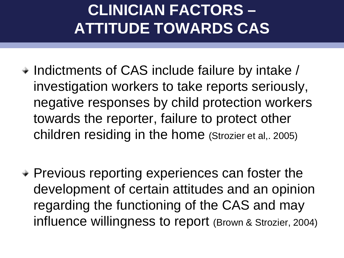#### **CLINICIAN FACTORS – ATTITUDE TOWARDS CAS**

- $\div$  Indictments of CAS include failure by intake / investigation workers to take reports seriously, negative responses by child protection workers towards the reporter, failure to protect other children residing in the home (Strozier et al,. 2005)
- Previous reporting experiences can foster the development of certain attitudes and an opinion regarding the functioning of the CAS and may influence willingness to report (Brown & Strozier, 2004)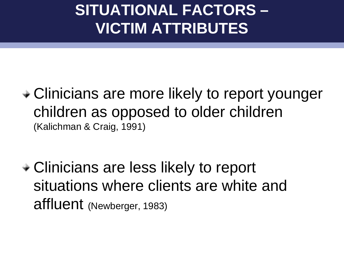#### **SITUATIONAL FACTORS – VICTIM ATTRIBUTES**

Clinicians are more likely to report younger children as opposed to older children (Kalichman & Craig, 1991)

Clinicians are less likely to report situations where clients are white and affluent (Newberger, 1983)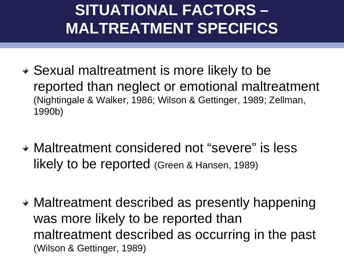#### **SITUATIONAL FACTORS – MALTREATMENT SPECIFICS**

- Sexual maltreatment is more likely to be reported than neglect or emotional maltreatment (Nightingale & Walker, 1986; Wilson & Gettinger, 1989; Zellman, 1990b)
- Maltreatment considered not "severe" is less likely to be reported (Green & Hansen, 1989)
- Maltreatment described as presently happening was more likely to be reported than maltreatment described as occurring in the past (Wilson & Gettinger, 1989)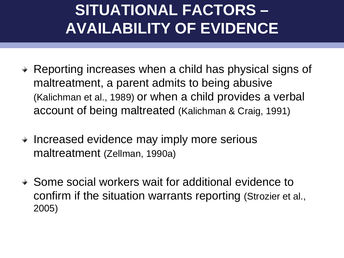#### **SITUATIONAL FACTORS – AVAILABILITY OF EVIDENCE**

- Reporting increases when a child has physical signs of maltreatment, a parent admits to being abusive (Kalichman et al., 1989) or when a child provides a verbal account of being maltreated (Kalichman & Craig, 1991)
- Increased evidence may imply more serious maltreatment (Zellman, 1990a)
- Some social workers wait for additional evidence to confirm if the situation warrants reporting (Strozier et al., 2005)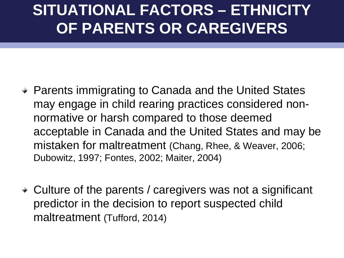#### **SITUATIONAL FACTORS – ETHNICITY OF PARENTS OR CAREGIVERS**

- Parents immigrating to Canada and the United States may engage in child rearing practices considered nonnormative or harsh compared to those deemed acceptable in Canada and the United States and may be mistaken for maltreatment (Chang, Rhee, & Weaver, 2006; Dubowitz, 1997; Fontes, 2002; Maiter, 2004)
- Culture of the parents / caregivers was not a significant predictor in the decision to report suspected child maltreatment (Tufford, 2014)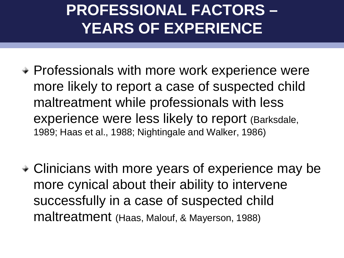#### **PROFESSIONAL FACTORS – YEARS OF EXPERIENCE**

- Professionals with more work experience were more likely to report a case of suspected child maltreatment while professionals with less experience were less likely to report (Barksdale, 1989; Haas et al., 1988; Nightingale and Walker, 1986)
- Clinicians with more years of experience may be more cynical about their ability to intervene successfully in a case of suspected child maltreatment (Haas, Malouf, & Mayerson, 1988)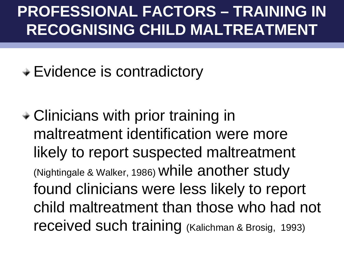#### **PROFESSIONAL FACTORS – TRAINING IN RECOGNISING CHILD MALTREATMENT**

Evidence is contradictory

Clinicians with prior training in maltreatment identification were more likely to report suspected maltreatment (Nightingale & Walker, 1986) while another study found clinicians were less likely to report child maltreatment than those who had not received such training (Kalichman & Brosig, 1993)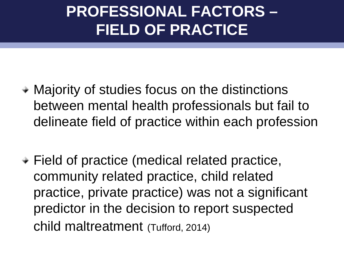#### **PROFESSIONAL FACTORS – FIELD OF PRACTICE**

- Majority of studies focus on the distinctions between mental health professionals but fail to delineate field of practice within each profession
- Field of practice (medical related practice, community related practice, child related practice, private practice) was not a significant predictor in the decision to report suspected child maltreatment (Tufford, 2014)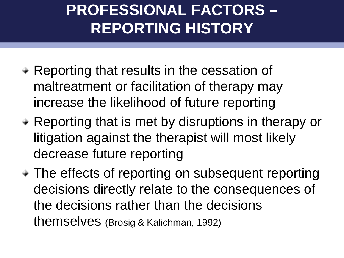#### **PROFESSIONAL FACTORS – REPORTING HISTORY**

- Reporting that results in the cessation of maltreatment or facilitation of therapy may increase the likelihood of future reporting
- Reporting that is met by disruptions in therapy or litigation against the therapist will most likely decrease future reporting
- The effects of reporting on subsequent reporting decisions directly relate to the consequences of the decisions rather than the decisions themselves (Brosig & Kalichman, 1992)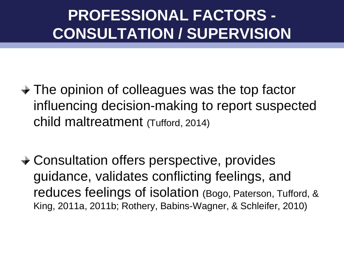#### **PROFESSIONAL FACTORS - CONSULTATION / SUPERVISION**

- The opinion of colleagues was the top factor influencing decision-making to report suspected child maltreatment (Tufford, 2014)
- Consultation offers perspective, provides guidance, validates conflicting feelings, and reduces feelings of isolation (Bogo, Paterson, Tufford, & King, 2011a, 2011b; Rothery, Babins-Wagner, & Schleifer, 2010)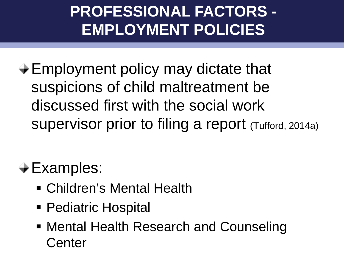#### **PROFESSIONAL FACTORS - EMPLOYMENT POLICIES**

 $\div$ **Employment policy may dictate that** suspicions of child maltreatment be discussed first with the social work supervisor prior to filing a report (Tufford, 2014a)

 $\div$  Examples:

- Children's Mental Health
- Pediatric Hospital
- Mental Health Research and Counseling **Center**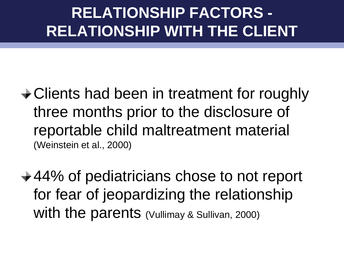#### **RELATIONSHIP FACTORS - RELATIONSHIP WITH THE CLIENT**

#### **← Clients had been in treatment for roughly** three months prior to the disclosure of reportable child maltreatment material (Weinstein et al., 2000)

 $\div$  **44% of pediatricians chose to not report** for fear of jeopardizing the relationship With the parents (Vullimay & Sullivan, 2000)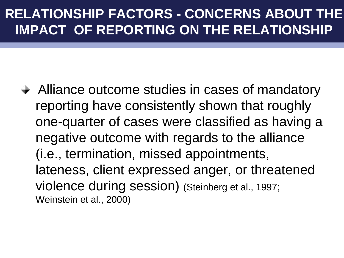#### **RELATIONSHIP FACTORS - CONCERNS ABOUT THE IMPACT OF REPORTING ON THE RELATIONSHIP**

**→ Alliance outcome studies in cases of mandatory** reporting have consistently shown that roughly one-quarter of cases were classified as having a negative outcome with regards to the alliance (i.e., termination, missed appointments, lateness, client expressed anger, or threatened violence during session) (Steinberg et al., 1997; Weinstein et al., 2000)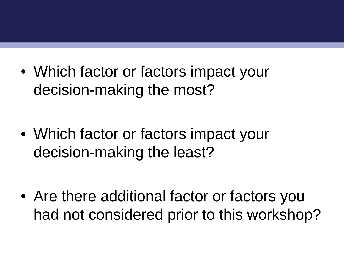• Which factor or factors impact your decision-making the most?

• Which factor or factors impact your decision-making the least?

• Are there additional factor or factors you had not considered prior to this workshop?

<u>REFLECTION CONTINUES IN A SERVICE OF THE SERVICE OF THE SERVICE OF THE SERVICE OF THE SERVICE OF THE SERVICE OF THE SERVICE OF THE SERVICE OF THE SERVICE OF THE SERVICE OF THE SERVICE OF THE SERVICE OF THE SERVICE OF THE </u>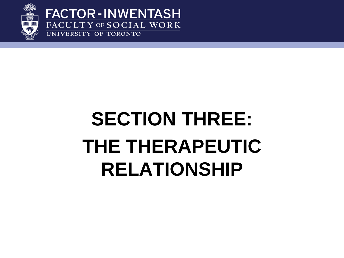

**FACTOR-INWENTASH** FACULTY OF SOCIAL WORK UNIVERSITY OF TORONTO

## **SECTION THREE: THE THERAPEUTIC RELATIONSHIP**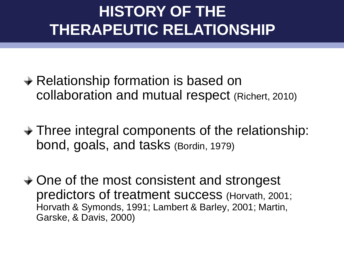#### **Contribution METHODOLOGY: CONTRIBUTION THE SECOND METHODOLOGY: CONTRIBUTION CONTRIBUTION CONTRIBUTION CONTRIBUTION THERAPEUTIC RELATIONSHIP**

- **→ Relationship formation is based on** collaboration and mutual respect (Richert, 2010)
- Three integral components of the relationship: bond, goals, and tasks (Bordin, 1979)
- **→ One of the most consistent and strongest** predictors of treatment success (Horvath, 2001; Horvath & Symonds, 1991; Lambert & Barley, 2001; Martin, Garske, & Davis, 2000)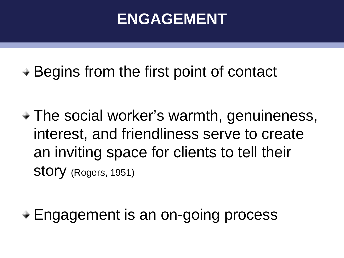#### **ENGAGEMENT**

 $\div$  **Begins from the first point of contact** 

The social worker's warmth, genuineness, interest, and friendliness serve to create an inviting space for clients to tell their Story (Rogers, 1951)

Engagement is an on-going process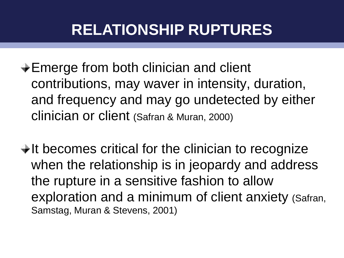#### **RELATIONSHIP RUPTURES**

- $\div$ **Emerge from both clinician and client** contributions, may waver in intensity, duration, and frequency and may go undetected by either clinician or client (Safran & Muran, 2000)
- $\rightarrow$  It becomes critical for the clinician to recognize when the relationship is in jeopardy and address the rupture in a sensitive fashion to allow exploration and a minimum of client anxiety (Safran, Samstag, Muran & Stevens, 2001)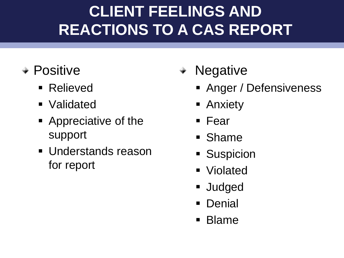#### **DISCUSSIONS TO A CAS REPORT**<br>REACTIONS TO A CAS REPORT **REACTIONS TO A CAS REPORT**

- Positive
	- Relieved
	- Validated
	- **Appreciative of the** support
	- **Understands reason** for report
- Negative
	- **Anger / Defensiveness**
	- Anxiety
	- Fear
	- **Shame**
	- **Suspicion**
	- Violated
	- **Judged**
	- **Denial**
	- **Blame**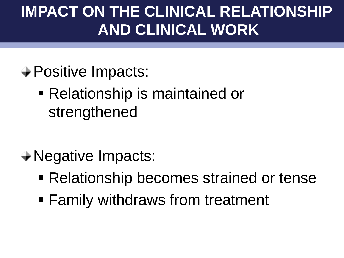#### **IMPACT ON THE CLINICAL RELATIONSHIP AND CLINICAL WORK**

- **→ Positive Impacts:** 
	- Relationship is maintained or strengthened

- Negative Impacts:
	- Relationship becomes strained or tense
	- Family withdraws from treatment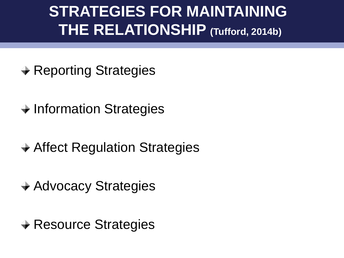#### **STRATEGIES FOR MAINTAINING THE RELATIONSHIP (Tufford, 2014b)**

- **→ Reporting Strategies**
- $\rightarrow$  Information Strategies
- **→ Affect Regulation Strategies**
- **→ Advocacy Strategies**
- **→ Resource Strategies**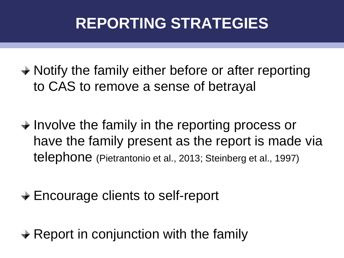#### **REPORTING STRATEGIES**

- **→ Notify the family either before or after reporting** to CAS to remove a sense of betrayal
- $\rightarrow$  Involve the family in the reporting process or have the family present as the report is made via telephone (Pietrantonio et al., 2013; Steinberg et al., 1997)
- $\div$  **Encourage clients to self-report**
- $\rightarrow$  Report in conjunction with the family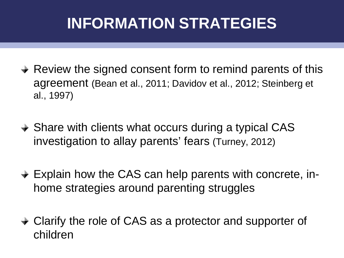#### **INFORMATION STRATEGIES**

- $\rightarrow$  Review the signed consent form to remind parents of this agreement (Bean et al., 2011; Davidov et al., 2012; Steinberg et al., 1997)
- **→ Share with clients what occurs during a typical CAS** investigation to allay parents' fears (Turney, 2012)
- **→ Explain how the CAS can help parents with concrete, in**home strategies around parenting struggles
- Clarify the role of CAS as a protector and supporter of children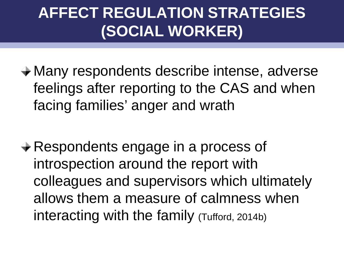#### **AFFECT REGULATION STRATEGIES (SOCIAL WORKER)**

- Many respondents describe intense, adverse feelings after reporting to the CAS and when facing families' anger and wrath
- **★ Respondents engage in a process of** introspection around the report with colleagues and supervisors which ultimately allows them a measure of calmness when interacting with the family (Tufford, 2014b)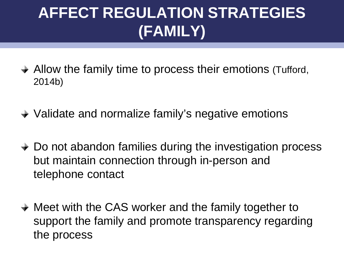#### **AFFECT REGULATION STRATEGIES (FAMILY)**

- **→ Allow the family time to process their emotions (Tufford,** 2014b)
- **→ Validate and normalize family's negative emotions**
- **→ Do not abandon families during the investigation process** but maintain connection through in-person and telephone contact
- **→ Meet with the CAS worker and the family together to** support the family and promote transparency regarding the process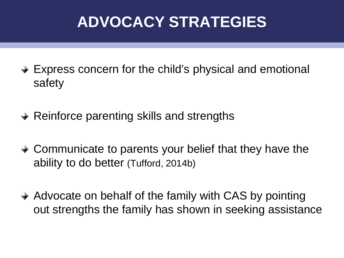#### **ADVOCACY STRATEGIES**

- **→ Express concern for the child's physical and emotional** safety
- $\rightarrow$  Reinforce parenting skills and strengths
- **→ Communicate to parents your belief that they have the** ability to do better (Tufford, 2014b)
- Advocate on behalf of the family with CAS by pointing out strengths the family has shown in seeking assistance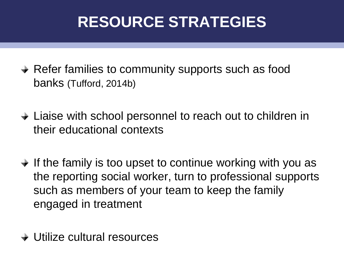#### **RESOURCE STRATEGIES**

- Refer families to community supports such as food banks (Tufford, 2014b)
- Liaise with school personnel to reach out to children in their educational contexts
- $\rightarrow$  If the family is too upset to continue working with you as the reporting social worker, turn to professional supports such as members of your team to keep the family engaged in treatment
- **→ Utilize cultural resources**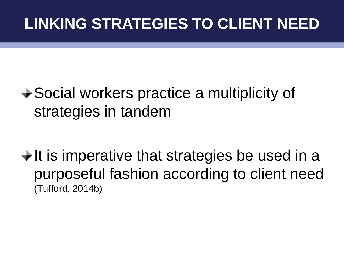#### **Discussion: Qualitative Methodology and Evidence-Based Practice LINKING STRATEGIES TO CLIENT NEED**

#### **→ Social workers practice a multiplicity of** strategies in tandem

 $\div$  It is imperative that strategies be used in a purposeful fashion according to client need (Tufford, 2014b)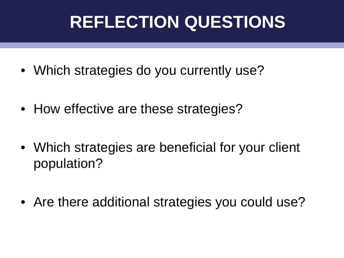### **REFLECTION QUESTIONS**

- Which strategies do you currently use?
- How effective are these strategies?
- Which strategies are beneficial for your client population?
- Are there additional strategies you could use?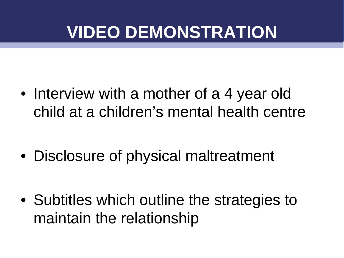### **VIDEO DEMONSTRATION**

• Interview with a mother of a 4 year old child at a children's mental health centre

• Disclosure of physical maltreatment

• Subtitles which outline the strategies to maintain the relationship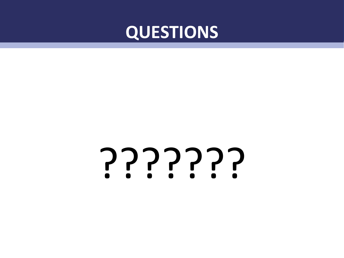

# ???????